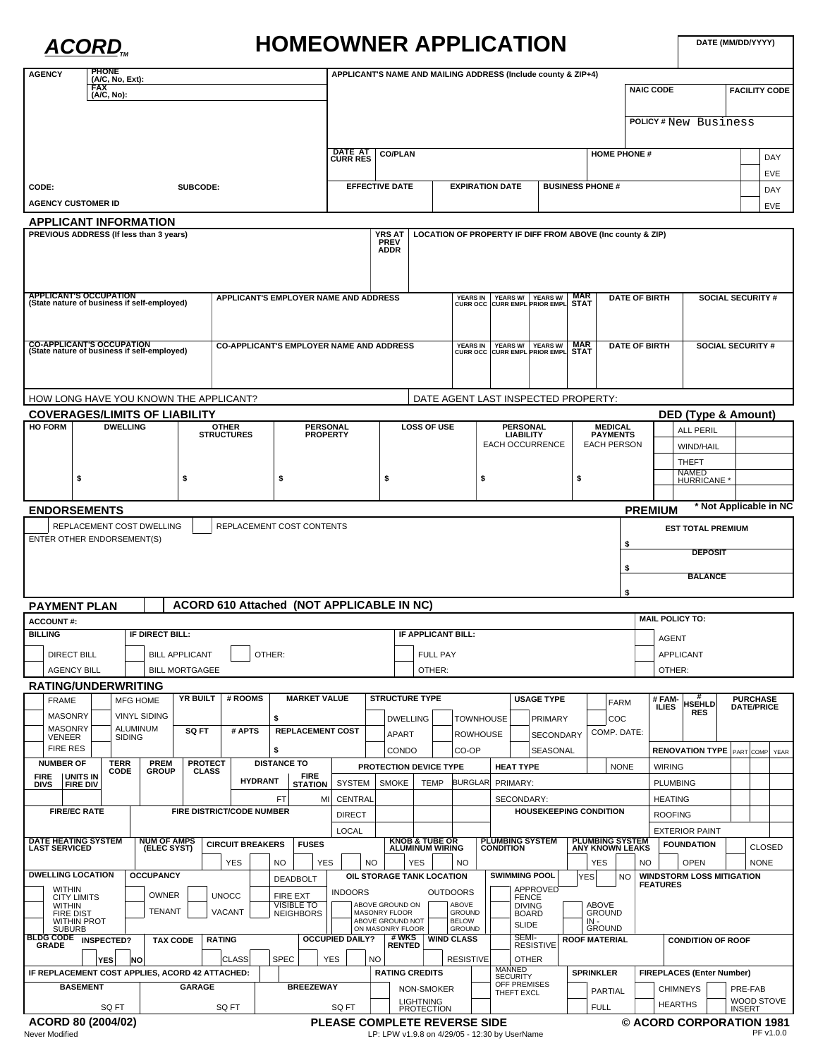## ACORD<sub>TM</sub> HOMEOWNER APPLICATION

**DATE (MM/DD/YYYY)**

| <b>AGENCY</b>                                          |                                        | <b>PHONE</b><br>(A/C, No, Ext): |                                   |                       |                |                                   |                    |                 |                                           |                                                 |           |                                              |                                                     |                                    |    | APPLICANT'S NAME AND MAILING ADDRESS (Include county & ZIP+4)        |                               |                  |                                       |                                                  |                        |                                  |                          |                                      |                        |  |
|--------------------------------------------------------|----------------------------------------|---------------------------------|-----------------------------------|-----------------------|----------------|-----------------------------------|--------------------|-----------------|-------------------------------------------|-------------------------------------------------|-----------|----------------------------------------------|-----------------------------------------------------|------------------------------------|----|----------------------------------------------------------------------|-------------------------------|------------------|---------------------------------------|--------------------------------------------------|------------------------|----------------------------------|--------------------------|--------------------------------------|------------------------|--|
|                                                        |                                        | <b>FAX</b><br>(A/C, No):        |                                   |                       |                |                                   |                    |                 |                                           |                                                 |           |                                              |                                                     |                                    |    |                                                                      |                               |                  |                                       | <b>NAIC CODE</b>                                 |                        |                                  |                          |                                      | <b>FACILITY CODE</b>   |  |
|                                                        |                                        |                                 |                                   |                       |                |                                   |                    |                 |                                           |                                                 |           |                                              |                                                     |                                    |    |                                                                      |                               |                  |                                       |                                                  |                        |                                  |                          |                                      |                        |  |
|                                                        |                                        |                                 |                                   |                       |                |                                   |                    |                 |                                           |                                                 |           |                                              |                                                     |                                    |    |                                                                      |                               |                  |                                       |                                                  |                        | <b>POLICY#New Business</b>       |                          |                                      |                        |  |
|                                                        |                                        |                                 |                                   |                       |                |                                   |                    |                 |                                           |                                                 |           |                                              |                                                     |                                    |    |                                                                      |                               |                  |                                       |                                                  |                        |                                  |                          |                                      |                        |  |
|                                                        |                                        |                                 |                                   |                       |                |                                   |                    |                 |                                           | <b>DATE AT</b><br><b>CURR RES</b>               |           | <b>CO/PLAN</b>                               |                                                     |                                    |    |                                                                      |                               |                  |                                       | <b>HOME PHONE#</b>                               |                        |                                  |                          |                                      | DAY                    |  |
|                                                        |                                        |                                 |                                   |                       |                |                                   |                    |                 |                                           |                                                 |           |                                              |                                                     |                                    |    |                                                                      |                               |                  |                                       |                                                  |                        |                                  |                          |                                      | EVE                    |  |
| CODE:<br>SUBCODE:                                      |                                        |                                 |                                   |                       |                |                                   |                    |                 |                                           | <b>EFFECTIVE DATE</b>                           |           |                                              |                                                     | <b>EXPIRATION DATE</b>             |    |                                                                      | <b>BUSINESS PHONE #</b>       |                  |                                       |                                                  |                        |                                  | DAY                      |                                      |                        |  |
| <b>AGENCY CUSTOMER ID</b>                              |                                        |                                 |                                   |                       |                |                                   |                    |                 |                                           |                                                 |           |                                              |                                                     |                                    |    |                                                                      |                               |                  |                                       |                                                  |                        |                                  | EVE                      |                                      |                        |  |
| APPLICANT INFORMATION                                  |                                        |                                 |                                   |                       |                |                                   |                    |                 |                                           |                                                 |           |                                              |                                                     |                                    |    |                                                                      |                               |                  |                                       |                                                  |                        |                                  |                          |                                      |                        |  |
| PREVIOUS ADDRESS (If less than 3 years)                |                                        |                                 |                                   |                       |                |                                   |                    |                 |                                           |                                                 |           | <b>YRS AT</b>                                |                                                     |                                    |    | LOCATION OF PROPERTY IF DIFF FROM ABOVE (Inc county & ZIP)           |                               |                  |                                       |                                                  |                        |                                  |                          |                                      |                        |  |
|                                                        |                                        |                                 |                                   |                       |                |                                   |                    |                 |                                           |                                                 |           | <b>PREV</b><br><b>ADDR</b>                   |                                                     |                                    |    |                                                                      |                               |                  |                                       |                                                  |                        |                                  |                          |                                      |                        |  |
|                                                        |                                        |                                 |                                   |                       |                |                                   |                    |                 |                                           |                                                 |           |                                              |                                                     |                                    |    |                                                                      |                               |                  |                                       |                                                  |                        |                                  |                          |                                      |                        |  |
|                                                        |                                        |                                 |                                   |                       |                |                                   |                    |                 |                                           |                                                 |           |                                              |                                                     |                                    |    |                                                                      |                               |                  |                                       |                                                  |                        |                                  |                          |                                      |                        |  |
| <b>APPLICANT'S OCCUPATION</b>                          |                                        |                                 |                                   |                       |                |                                   |                    |                 | APPLICANT'S EMPLOYER NAME AND ADDRESS     |                                                 |           |                                              |                                                     |                                    |    | YEARS IN YEARS W/ YEARS W/ MAR<br>CURR OCC CURR EMPL PRIOR EMPL STAT |                               | <b>MAR</b>       |                                       | <b>DATE OF BIRTH</b>                             |                        |                                  | <b>SOCIAL SECURITY #</b> |                                      |                        |  |
| (State nature of business if self-employed)            |                                        |                                 |                                   |                       |                |                                   |                    |                 |                                           |                                                 |           |                                              |                                                     |                                    |    |                                                                      |                               |                  |                                       |                                                  |                        |                                  |                          |                                      |                        |  |
|                                                        |                                        |                                 |                                   |                       |                |                                   |                    |                 |                                           |                                                 |           |                                              |                                                     |                                    |    |                                                                      |                               |                  |                                       |                                                  |                        |                                  |                          |                                      |                        |  |
| <b>CO-APPLICANT'S OCCUPATION</b>                       |                                        |                                 |                                   |                       |                |                                   |                    |                 |                                           | <b>CO-APPLICANT'S EMPLOYER NAME AND ADDRESS</b> |           |                                              |                                                     |                                    |    |                                                                      |                               | <b>MAR</b>       |                                       | <b>DATE OF BIRTH</b>                             |                        |                                  | <b>SOCIAL SECURITY #</b> |                                      |                        |  |
| (State nature of business if self-employed)            |                                        |                                 |                                   |                       |                |                                   |                    |                 |                                           |                                                 |           |                                              |                                                     |                                    |    | YEARS IN YEARS W/ YEARS W/ MAR<br>CURR OCC CURR EMPL PRIOR EMPL STAT |                               |                  |                                       |                                                  |                        |                                  |                          |                                      |                        |  |
|                                                        |                                        |                                 |                                   |                       |                |                                   |                    |                 |                                           |                                                 |           |                                              |                                                     |                                    |    |                                                                      |                               |                  |                                       |                                                  |                        |                                  |                          |                                      |                        |  |
|                                                        |                                        |                                 |                                   |                       |                |                                   |                    |                 |                                           |                                                 |           |                                              |                                                     |                                    |    |                                                                      |                               |                  |                                       |                                                  |                        |                                  |                          |                                      |                        |  |
| HOW LONG HAVE YOU KNOWN THE APPLICANT?                 |                                        |                                 |                                   |                       |                |                                   |                    |                 |                                           |                                                 |           |                                              |                                                     |                                    |    | DATE AGENT LAST INSPECTED PROPERTY:                                  |                               |                  |                                       |                                                  |                        |                                  |                          |                                      |                        |  |
| <b>COVERAGES/LIMITS OF LIABILITY</b><br><b>HO FORM</b> |                                        |                                 |                                   |                       |                |                                   |                    |                 |                                           |                                                 |           |                                              | <b>LOSS OF USE</b>                                  |                                    |    | <b>PERSONAL</b>                                                      |                               |                  |                                       |                                                  |                        | DED (Type & Amount)              |                          |                                      |                        |  |
|                                                        | <b>DWELLING</b>                        |                                 |                                   |                       |                | <b>OTHER</b><br><b>STRUCTURES</b> |                    |                 | <b>PERSONAL</b><br><b>PROPERTY</b>        |                                                 |           |                                              |                                                     |                                    |    | <b>LIABILITY</b>                                                     |                               |                  |                                       | <b>MEDICAL</b><br><b>PAYMENTS</b>                |                        | <b>ALL PERIL</b>                 |                          |                                      |                        |  |
|                                                        |                                        |                                 |                                   |                       |                |                                   |                    |                 |                                           |                                                 |           |                                              |                                                     |                                    |    | <b>EACH OCCURRENCE</b>                                               |                               |                  | <b>EACH PERSON</b>                    |                                                  |                        | WIND/HAIL                        |                          |                                      |                        |  |
|                                                        |                                        |                                 |                                   |                       |                |                                   |                    |                 |                                           |                                                 |           |                                              |                                                     |                                    |    |                                                                      |                               |                  |                                       |                                                  |                        | <b>THEFT</b>                     |                          |                                      |                        |  |
|                                                        | \$                                     |                                 | \$                                |                       |                |                                   |                    | \$              |                                           |                                                 |           |                                              | \$                                                  |                                    | \$ |                                                                      | \$                            |                  |                                       |                                                  |                        | NAMED<br>HURRICANE *             |                          |                                      |                        |  |
|                                                        |                                        |                                 |                                   |                       |                |                                   |                    |                 |                                           |                                                 |           |                                              |                                                     |                                    |    |                                                                      |                               |                  |                                       |                                                  |                        |                                  |                          |                                      |                        |  |
| <b>ENDORSEMENTS</b>                                    |                                        |                                 |                                   |                       |                |                                   |                    |                 |                                           |                                                 |           |                                              |                                                     |                                    |    |                                                                      |                               |                  |                                       | <b>PREMIUM</b>                                   |                        |                                  |                          |                                      | * Not Applicable in NC |  |
|                                                        |                                        |                                 | REPLACEMENT COST DWELLING         |                       |                |                                   |                    |                 | REPLACEMENT COST CONTENTS                 |                                                 |           |                                              |                                                     |                                    |    |                                                                      |                               |                  |                                       |                                                  |                        | <b>EST TOTAL PREMIUM</b>         |                          |                                      |                        |  |
| ENTER OTHER ENDORSEMENT(S)                             |                                        |                                 |                                   |                       |                |                                   |                    |                 |                                           |                                                 |           |                                              |                                                     |                                    |    |                                                                      |                               |                  |                                       | \$                                               |                        |                                  |                          |                                      |                        |  |
|                                                        |                                        |                                 |                                   |                       |                |                                   |                    |                 |                                           |                                                 |           |                                              |                                                     |                                    |    |                                                                      |                               |                  |                                       |                                                  |                        | <b>DEPOSIT</b>                   |                          |                                      |                        |  |
|                                                        |                                        |                                 |                                   |                       |                |                                   |                    |                 |                                           |                                                 |           |                                              |                                                     |                                    |    |                                                                      |                               |                  |                                       | \$                                               |                        | <b>BALANCE</b>                   |                          |                                      |                        |  |
|                                                        |                                        |                                 |                                   |                       |                |                                   |                    |                 |                                           |                                                 |           |                                              |                                                     |                                    |    |                                                                      |                               |                  |                                       | \$                                               |                        |                                  |                          |                                      |                        |  |
| <b>PAYMENT PLAN</b>                                    |                                        |                                 |                                   |                       |                |                                   |                    |                 | ACORD 610 Attached (NOT APPLICABLE IN NC) |                                                 |           |                                              |                                                     |                                    |    |                                                                      |                               |                  |                                       |                                                  |                        |                                  |                          |                                      |                        |  |
| <b>ACCOUNT#:</b>                                       |                                        |                                 |                                   |                       |                |                                   |                    |                 |                                           |                                                 |           |                                              |                                                     |                                    |    |                                                                      |                               |                  |                                       |                                                  | <b>MAIL POLICY TO:</b> |                                  |                          |                                      |                        |  |
| <b>BILLING</b>                                         |                                        |                                 | IF DIRECT BILL:                   |                       |                |                                   |                    |                 |                                           | IF APPLICANT BILL:<br><b>AGENT</b>              |           |                                              |                                                     |                                    |    |                                                                      |                               |                  |                                       |                                                  |                        |                                  |                          |                                      |                        |  |
|                                                        | <b>DIRECT BILL</b>                     |                                 |                                   | <b>BILL APPLICANT</b> |                | OTHER:                            |                    |                 |                                           | <b>FULL PAY</b>                                 |           |                                              |                                                     |                                    |    |                                                                      |                               |                  |                                       |                                                  | <b>APPLICANT</b>       |                                  |                          |                                      |                        |  |
|                                                        | <b>AGENCY BILL</b>                     |                                 |                                   | <b>BILL MORTGAGEE</b> |                |                                   |                    |                 |                                           |                                                 |           |                                              | OTHER:                                              |                                    |    |                                                                      |                               |                  |                                       |                                                  | OTHER:                 |                                  |                          |                                      |                        |  |
| <b>RATING/UNDERWRITING</b>                             |                                        |                                 |                                   |                       |                |                                   |                    |                 |                                           |                                                 |           |                                              |                                                     |                                    |    |                                                                      |                               |                  |                                       |                                                  |                        |                                  |                          |                                      |                        |  |
| <b>FRAME</b>                                           |                                        |                                 | MFG HOME                          | YR BUILT              |                | # ROOMS                           |                    |                 | <b>MARKET VALUE</b>                       |                                                 |           | <b>STRUCTURE TYPE</b>                        |                                                     |                                    |    |                                                                      | <b>USAGE TYPE</b>             |                  |                                       | <b>FARM</b>                                      | #FAM-<br><b>ILIES</b>  | <b>HSEHLD</b>                    |                          | <b>PURCHASE</b><br><b>DATE/PRICE</b> |                        |  |
| <b>MASONRY</b>                                         |                                        |                                 | <b>VINYL SIDING</b>               |                       |                |                                   | \$                 |                 |                                           |                                                 |           | <b>DWELLING</b>                              |                                                     | <b>TOWNHOUSE</b>                   |    |                                                                      | PRIMARY                       |                  | COC                                   |                                                  |                        | <b>RES</b>                       |                          |                                      |                        |  |
| <b>MASONRY</b><br><b>VENEER</b>                        |                                        | <b>SIDING</b>                   | <b>ALUMINUM</b>                   | <b>SQ FT</b>          |                | # APTS                            |                    |                 | <b>REPLACEMENT COST</b>                   |                                                 |           | <b>APART</b>                                 |                                                     | <b>ROWHOUSE</b>                    |    |                                                                      | <b>SECONDARY</b>              |                  | COMP. DATE:                           |                                                  |                        |                                  |                          |                                      |                        |  |
| <b>FIRE RES</b>                                        |                                        |                                 |                                   |                       |                |                                   | \$                 |                 |                                           |                                                 |           | CONDO                                        |                                                     | CO-OP                              |    |                                                                      | <b>SEASONAL</b>               |                  |                                       |                                                  |                        | <b>RENOVATION TYPE</b>           | PART                     |                                      | COMP YEAR              |  |
| <b>NUMBER OF</b>                                       |                                        | <b>TERR</b>                     | <b>PREM</b>                       |                       | <b>PROTECT</b> |                                   | <b>DISTANCE TO</b> |                 |                                           |                                                 |           |                                              | PROTECTION DEVICE TYPE                              |                                    |    | <b>HEAT TYPE</b>                                                     |                               |                  |                                       | <b>NONE</b>                                      | <b>WIRING</b>          |                                  |                          |                                      |                        |  |
| <b>FIRE</b><br><b>DIVS</b>                             | <b>IUNITS IN</b><br><b>FIRE DIV</b>    | CODE                            | <b>GROUP</b>                      |                       | <b>CLASS</b>   |                                   | <b>HYDRANT</b>     |                 | <b>FIRE</b><br><b>STATION</b>             | <b>SYSTEM</b>                                   |           | <b>SMOKE</b>                                 | <b>TEMP</b>                                         | <b>BURGLAR</b>                     |    | PRIMARY:                                                             |                               |                  |                                       |                                                  | <b>PLUMBING</b>        |                                  |                          |                                      |                        |  |
|                                                        |                                        |                                 |                                   |                       |                |                                   |                    | FT              | MI                                        | CENTRAL                                         |           |                                              |                                                     |                                    |    | SECONDARY:                                                           |                               |                  |                                       |                                                  | <b>HEATING</b>         |                                  |                          |                                      |                        |  |
|                                                        | <b>FIRE/EC RATE</b>                    |                                 |                                   |                       |                | FIRE DISTRICT/CODE NUMBER         |                    |                 |                                           | <b>DIRECT</b>                                   |           |                                              |                                                     |                                    |    |                                                                      | <b>HOUSEKEEPING CONDITION</b> |                  |                                       |                                                  | <b>ROOFING</b>         |                                  |                          |                                      |                        |  |
|                                                        |                                        |                                 |                                   |                       |                |                                   |                    |                 |                                           | <b>LOCAL</b>                                    |           |                                              |                                                     |                                    |    |                                                                      |                               |                  |                                       |                                                  |                        | <b>EXTERIOR PAINT</b>            |                          |                                      |                        |  |
| <b>DATE HEATING SYSTEM</b>                             |                                        |                                 | <b>NUM OF AMPS</b><br>(ELEC SYST) |                       |                | <b>CIRCUIT BREAKERS</b>           |                    |                 | <b>FUSES</b>                              |                                                 |           |                                              | <b>KNOB &amp; TUBE OR</b><br><b>ALUMINUM WIRING</b> |                                    |    | <b>PLUMBING SYSTEM</b><br><b>CONDITION</b>                           |                               |                  |                                       | <b>PLUMBING SYSTEM</b><br><b>ANY KNOWN LEAKS</b> |                        | <b>FOUNDATION</b>                |                          |                                      | <b>CLOSED</b>          |  |
| <b>LAST SERVICED</b>                                   |                                        |                                 |                                   |                       |                | <b>YES</b>                        |                    | <b>NO</b>       | <b>YES</b>                                |                                                 | <b>NO</b> |                                              | <b>YES</b>                                          | <b>NO</b>                          |    |                                                                      |                               |                  | <b>YES</b>                            | NO.                                              |                        | <b>OPEN</b>                      |                          | <b>NONE</b>                          |                        |  |
| <b>DWELLING LOCATION</b>                               |                                        |                                 | <b>OCCUPANCY</b>                  |                       |                |                                   |                    |                 | <b>DEADBOLT</b>                           |                                                 |           |                                              | OIL STORAGE TANK LOCATION                           |                                    |    | <b>SWIMMING POOL</b>                                                 |                               | <b>YES</b>       |                                       | <b>NO</b>                                        |                        | <b>WINDSTORM LOSS MITIGATION</b> |                          |                                      |                        |  |
| <b>WITHIN</b>                                          |                                        |                                 | OWNER                             |                       |                | <b>UNOCC</b>                      |                    |                 |                                           | <b>INDOORS</b>                                  |           |                                              |                                                     | <b>OUTDOORS</b>                    |    |                                                                      | <b>APPROVED</b>               |                  |                                       |                                                  | <b>FEATURES</b>        |                                  |                          |                                      |                        |  |
| <b>WITHIN</b>                                          | <b>CITY LIMITS</b>                     |                                 |                                   |                       |                |                                   |                    | <b>FIRE EXT</b> | <b>VISIBLE TO</b>                         |                                                 |           | ABOVE GROUND ON                              |                                                     | <b>ABOVE</b>                       |    | <b>FENCE</b><br><b>DIVING</b>                                        |                               |                  | ABOVE                                 |                                                  |                        |                                  |                          |                                      |                        |  |
|                                                        | <b>FIRE DIST</b><br><b>WITHIN PROT</b> |                                 | <b>TENANT</b>                     |                       |                | VACANT                            |                    |                 | <b>NEIGHBORS</b>                          |                                                 |           | <b>MASONRY FLOOR</b><br>ABOVE GROUND NOT     |                                                     | <b>GROUND</b><br><b>BELOW</b>      |    | <b>BOARD</b><br><b>SLIDE</b>                                         |                               |                  | <b>GROUND</b><br>$IN -$               |                                                  |                        |                                  |                          |                                      |                        |  |
| <b>SUBURB</b><br>BLDG CODE INSPECTED?                  |                                        |                                 |                                   | <b>TAX CODE</b>       | <b>RATING</b>  |                                   |                    |                 | <b>OCCUPIED DAILY?</b>                    |                                                 |           | ON MASONRY FLOOR<br># WKS                    |                                                     | <b>GROUND</b><br><b>WIND CLASS</b> |    | SEMI-                                                                |                               |                  | <b>GROUND</b><br><b>ROOF MATERIAL</b> |                                                  |                        | <b>CONDITION OF ROOF</b>         |                          |                                      |                        |  |
| <b>GRADE</b>                                           |                                        |                                 |                                   |                       |                |                                   |                    |                 |                                           |                                                 |           | <b>RENTED</b>                                |                                                     |                                    |    |                                                                      | <b>RESISTIVE</b>              |                  |                                       |                                                  |                        |                                  |                          |                                      |                        |  |
|                                                        |                                        | <b>YES</b>                      | NΟ                                |                       |                | <b>CLASS</b>                      |                    | <b>SPEC</b>     |                                           | <b>YES</b>                                      | <b>NO</b> | <b>RATING CREDITS</b>                        |                                                     | <b>RESISTIVE</b>                   |    | <b>OTHER</b><br><b>MANNED</b>                                        |                               |                  |                                       |                                                  |                        | <b>FIREPLACES (Enter Number)</b> |                          |                                      |                        |  |
| IF REPLACEMENT COST APPLIES, ACORD 42 ATTACHED:        |                                        |                                 |                                   | <b>GARAGE</b>         |                |                                   |                    |                 |                                           |                                                 |           |                                              |                                                     | <b>SECURITY</b><br>OFF PREMISES    |    |                                                                      |                               | <b>SPRINKLER</b> |                                       |                                                  |                        |                                  | PRE-FAB                  |                                      |                        |  |
| <b>BASEMENT</b>                                        |                                        |                                 |                                   |                       |                | <b>BREEZEWAY</b>                  |                    |                 |                                           |                                                 |           | NON-SMOKER<br>THEFT EXCL<br><b>LIGHTNING</b> |                                                     |                                    |    |                                                                      | <b>PARTIAL</b>                |                  |                                       |                                                  | <b>CHIMNEYS</b>        |                                  |                          | WOOD STOVE                           |                        |  |
|                                                        |                                        | SQ FT                           |                                   |                       |                | SQ FT                             |                    |                 |                                           | SQ FT                                           |           |                                              | <b>PROTECTION</b>                                   |                                    |    |                                                                      |                               |                  | <b>FULL</b>                           |                                                  | <b>HEARTHS</b>         |                                  |                          | <b>INSERT</b>                        |                        |  |